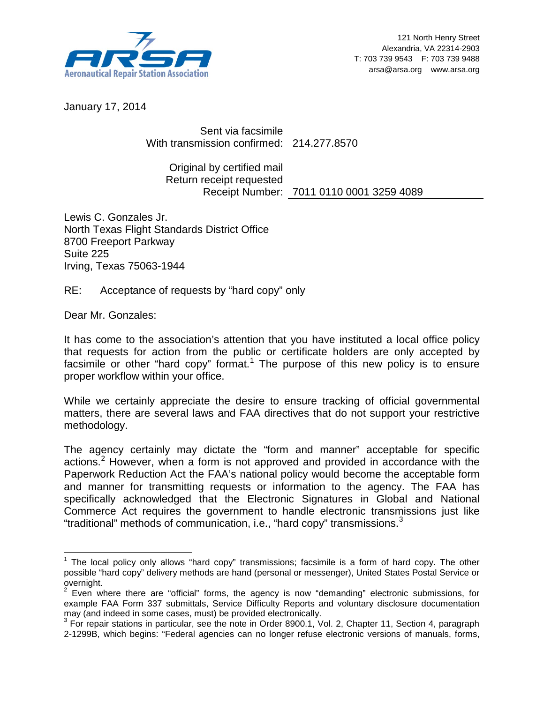

January 17, 2014

Sent via facsimile With transmission confirmed: 214.277.8570

Original by certified mail Return receipt requested Receipt Number: 7011 0110 0001 3259 4089

Lewis C. Gonzales Jr. North Texas Flight Standards District Office 8700 Freeport Parkway Suite 225 Irving, Texas 75063-1944

RE: Acceptance of requests by "hard copy" only

Dear Mr. Gonzales:

It has come to the association's attention that you have instituted a local office policy that requests for action from the public or certificate holders are only accepted by facsimile or other "hard copy" format.<sup>[1](#page-0-0)</sup> The purpose of this new policy is to ensure proper workflow within your office.

While we certainly appreciate the desire to ensure tracking of official governmental matters, there are several laws and FAA directives that do not support your restrictive methodology.

The agency certainly may dictate the "form and manner" acceptable for specific actions. [2](#page-0-1) However, when a form is not approved and provided in accordance with the Paperwork Reduction Act the FAA's national policy would become the acceptable form and manner for transmitting requests or information to the agency. The FAA has specifically acknowledged that the Electronic Signatures in Global and National Commerce Act requires the government to handle electronic transmissions just like "traditional" methods of communication, i.e., "hard copy" transmissions. $^3$  $^3$ 

<span id="page-0-0"></span><sup>&</sup>lt;sup>1</sup> The local policy only allows "hard copy" transmissions; facsimile is a form of hard copy. The other possible "hard copy" delivery methods are hand (personal or messenger), United States Postal Service or overnight.

<span id="page-0-1"></span><sup>2</sup> Even where there are "official" forms, the agency is now "demanding" electronic submissions, for example FAA Form 337 submittals, Service Difficulty Reports and voluntary disclosure documentation may (and indeed in some cases, must) be provided electronically.

<span id="page-0-2"></span> $\frac{3}{3}$  For repair stations in particular, see the note in Order 8900.1, Vol. 2, Chapter 11, Section 4, paragraph 2-1299B, which begins: "Federal agencies can no longer refuse electronic versions of manuals, forms,